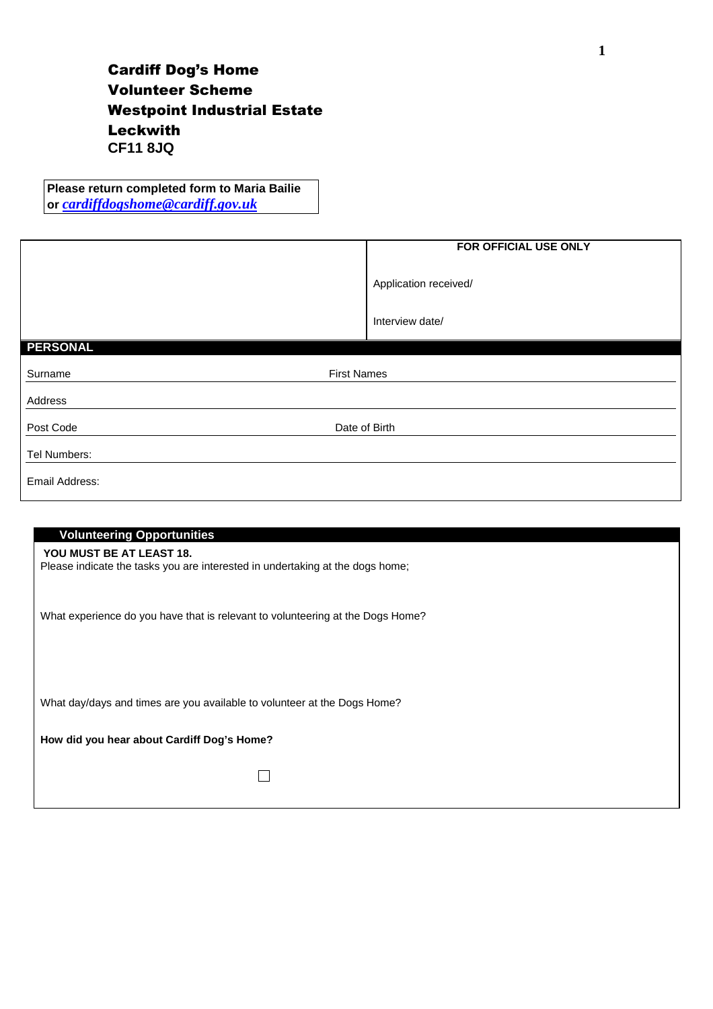## Cardiff Dog's Home Volunteer Scheme Westpoint Industrial Estate Leckwith **CF11 8JQ**

**Please return completed form to Maria Bailie or** *cardiffdogshome@cardiff.gov.uk*

|                               | FOR OFFICIAL USE ONLY                    |
|-------------------------------|------------------------------------------|
|                               | Application received/<br>Interview date/ |
|                               |                                          |
| <b>PERSONAL</b>               |                                          |
|                               |                                          |
| <b>First Names</b><br>Surname |                                          |
| Address                       |                                          |
| Post Code                     | Date of Birth                            |
| Tel Numbers:                  |                                          |
| Email Address:                |                                          |

| <b>Volunteering Opportunities</b>                                                                         |
|-----------------------------------------------------------------------------------------------------------|
| YOU MUST BE AT LEAST 18.<br>Please indicate the tasks you are interested in undertaking at the dogs home; |
| What experience do you have that is relevant to volunteering at the Dogs Home?                            |
|                                                                                                           |
| What day/days and times are you available to volunteer at the Dogs Home?                                  |
| How did you hear about Cardiff Dog's Home?                                                                |
|                                                                                                           |
|                                                                                                           |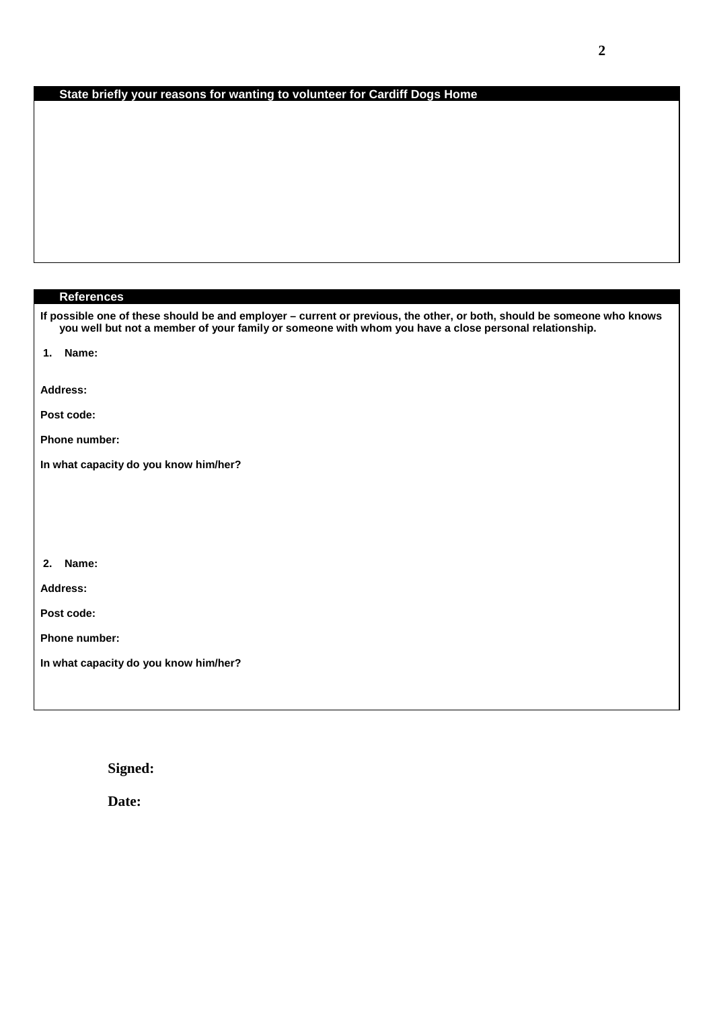## **State briefly your reasons for wanting to volunteer for Cardiff Dogs Home**

| <b>References</b>                                                                                                                                                                                                               |
|---------------------------------------------------------------------------------------------------------------------------------------------------------------------------------------------------------------------------------|
| If possible one of these should be and employer - current or previous, the other, or both, should be someone who knows<br>you well but not a member of your family or someone with whom you have a close personal relationship. |
| 1. Name:                                                                                                                                                                                                                        |
| <b>Address:</b>                                                                                                                                                                                                                 |
| Post code:                                                                                                                                                                                                                      |
| <b>Phone number:</b>                                                                                                                                                                                                            |
| In what capacity do you know him/her?                                                                                                                                                                                           |
|                                                                                                                                                                                                                                 |
|                                                                                                                                                                                                                                 |
|                                                                                                                                                                                                                                 |
| 2. Name:                                                                                                                                                                                                                        |
| Address:                                                                                                                                                                                                                        |
| Post code:                                                                                                                                                                                                                      |
| <b>Phone number:</b>                                                                                                                                                                                                            |
| In what capacity do you know him/her?                                                                                                                                                                                           |
|                                                                                                                                                                                                                                 |

**Signed:** 

**Date:**